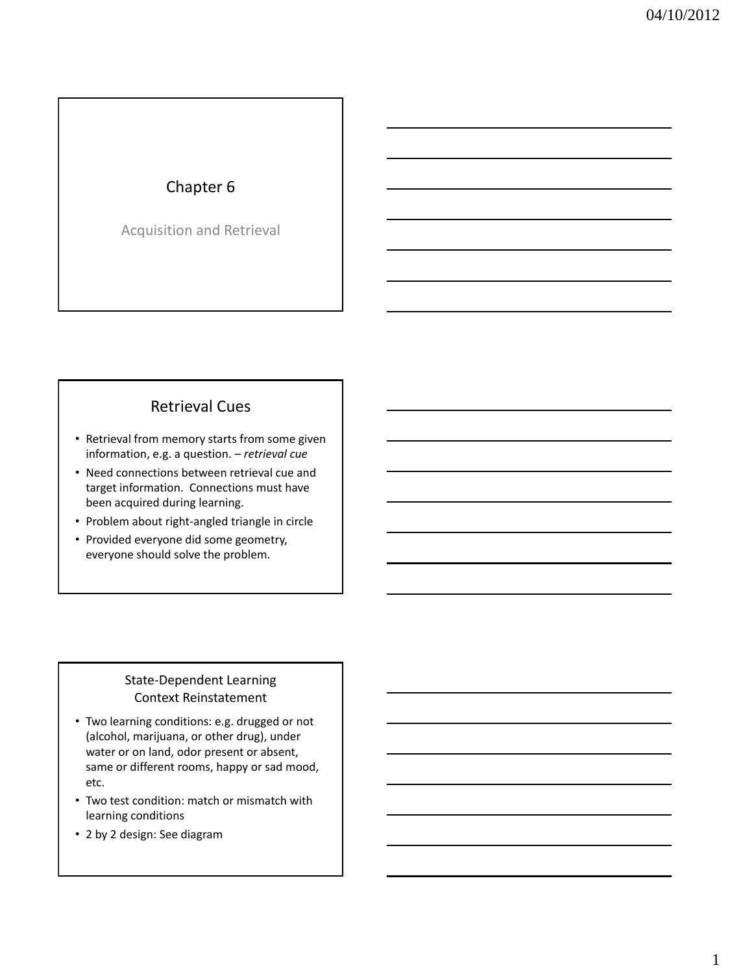# Chapter 6

Acquisition and Retrieval

# Retrieval Cues

- Retrieval from memory starts from some given information, e.g. a question. – *retrieval cue*
- Need connections between retrieval cue and target information. Connections must have been acquired during learning.
- Problem about right-angled triangle in circle
- Provided everyone did some geometry, everyone should solve the problem.

### State-Dependent Learning Context Reinstatement

- Two learning conditions: e.g. drugged or not (alcohol, marijuana, or other drug), under water or on land, odor present or absent, same or different rooms, happy or sad mood, etc.
- Two test condition: match or mismatch with learning conditions
- 2 by 2 design: See diagram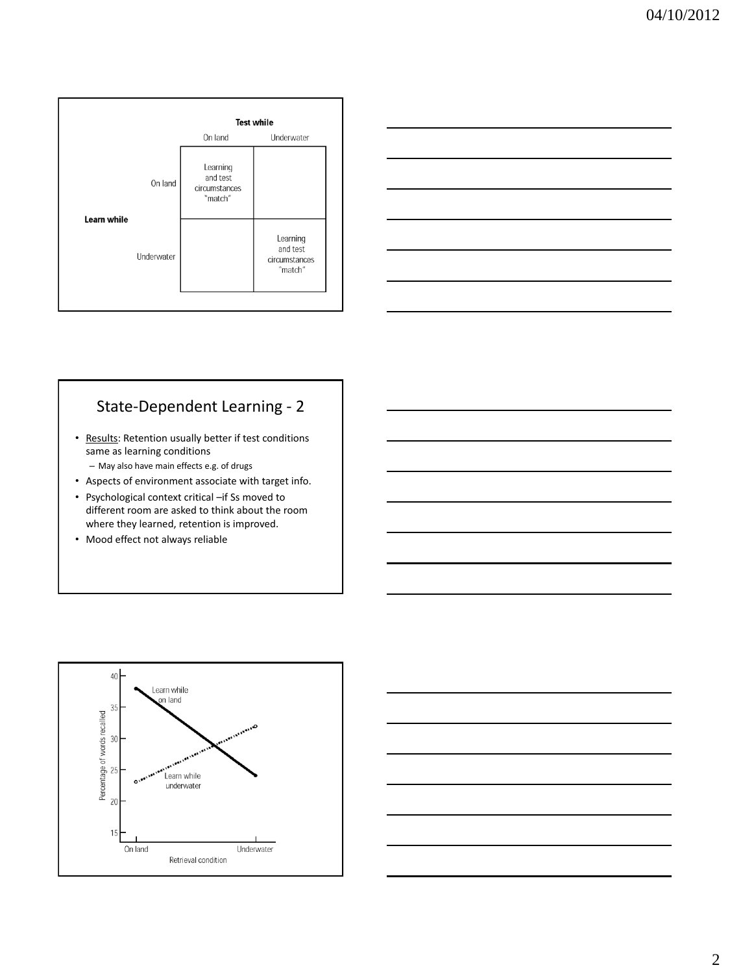



# State-Dependent Learning - 2

• Results: Retention usually better if test conditions same as learning conditions

– May also have main effects e.g. of drugs

- Aspects of environment associate with target info.
- Psychological context critical –if Ss moved to different room are asked to think about the room where they learned, retention is improved.
- Mood effect not always reliable



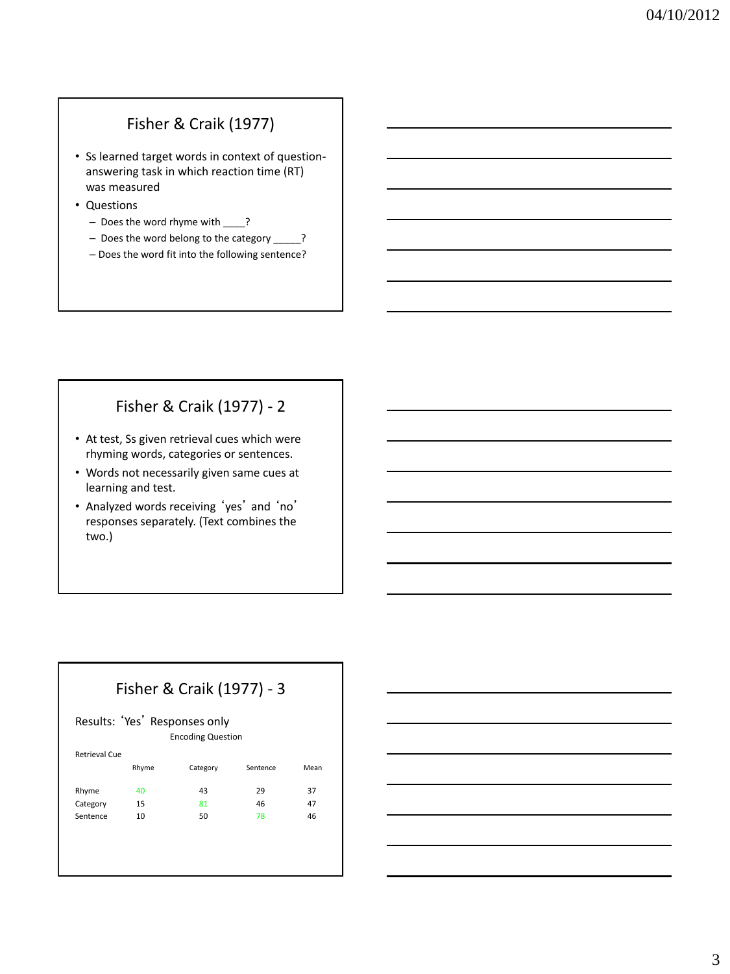# Fisher & Craik (1977)

- Ss learned target words in context of questionanswering task in which reaction time (RT) was measured
- Questions
	- Does the word rhyme with \_\_\_\_?
	- Does the word belong to the category \_\_\_\_\_?
	- Does the word fit into the following sentence?

# Fisher & Craik (1977) - 2

- At test, Ss given retrieval cues which were rhyming words, categories or sentences.
- Words not necessarily given same cues at learning and test.
- Analyzed words receiving 'yes' and 'no' responses separately. (Text combines the two.)

### Fisher & Craik (1977) - 3

#### Results: 'Yes' Responses only Encoding Question

| Retrieval Cue |       |          |          |      |
|---------------|-------|----------|----------|------|
|               | Rhyme | Category | Sentence | Mean |
| Rhyme         | 40    | 43       | 29       | 37   |
| Category      | 15    | 81       | 46       | 47   |
| Sentence      | 10    | 50       | 78       | 46   |
|               |       |          |          |      |
|               |       |          |          |      |
|               |       |          |          |      |
|               |       |          |          |      |

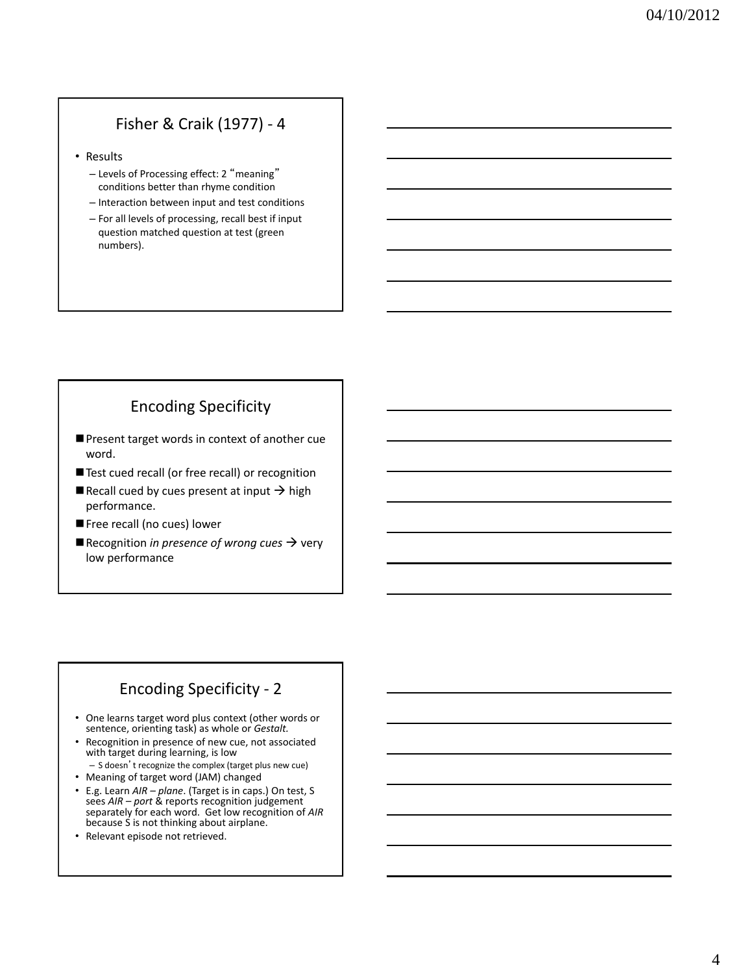# Fisher & Craik (1977) - 4

• Results

- Levels of Processing effect: 2 "meaning" conditions better than rhyme condition
- Interaction between input and test conditions
- For all levels of processing, recall best if input question matched question at test (green numbers).

# Encoding Specificity

- Present target words in context of another cue word.
- Test cued recall (or free recall) or recognition
- Recall cued by cues present at input  $\rightarrow$  high performance.
- Free recall (no cues) lower
- $\blacksquare$  Recognition *in presence of wrong cues*  $\rightarrow$  very low performance

## Encoding Specificity - 2

- One learns target word plus context (other words or sentence, orienting task) as whole or *Gestalt.*
- Recognition in presence of new cue, not associated with target during learning, is low
	- S doesn't recognize the complex (target plus new cue)
- Meaning of target word (JAM) changed
- E.g. Learn *AIR – plane*. (Target is in caps.) On test, S sees *AIR – port* & reports recognition judgement separately for each word. Get low recognition of *AIR* because S is not thinking about airplane.
- Relevant episode not retrieved.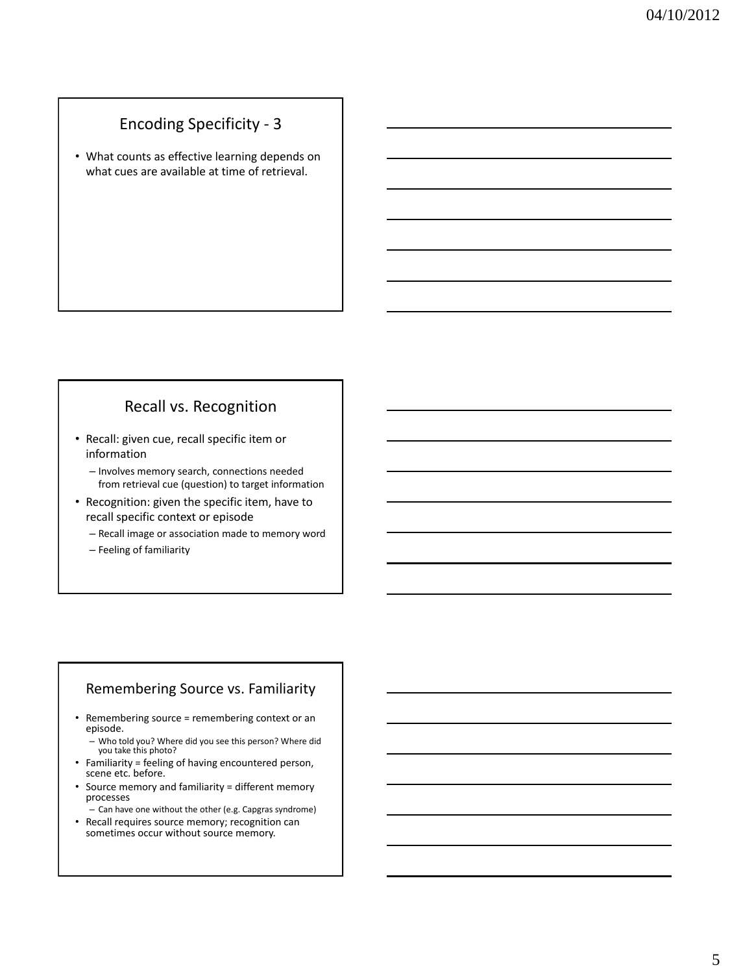### Encoding Specificity - 3

• What counts as effective learning depends on what cues are available at time of retrieval.

# Recall vs. Recognition

- Recall: given cue, recall specific item or information
	- Involves memory search, connections needed from retrieval cue (question) to target information
- Recognition: given the specific item, have to recall specific context or episode
	- Recall image or association made to memory word
	- Feeling of familiarity

### Remembering Source vs. Familiarity

- Remembering source = remembering context or an episode.
	- Who told you? Where did you see this person? Where did you take this photo?
- Familiarity = feeling of having encountered person, scene etc. before.
- Source memory and familiarity = different memory processes
- Can have one without the other (e.g. Capgras syndrome) • Recall requires source memory; recognition can sometimes occur without source memory.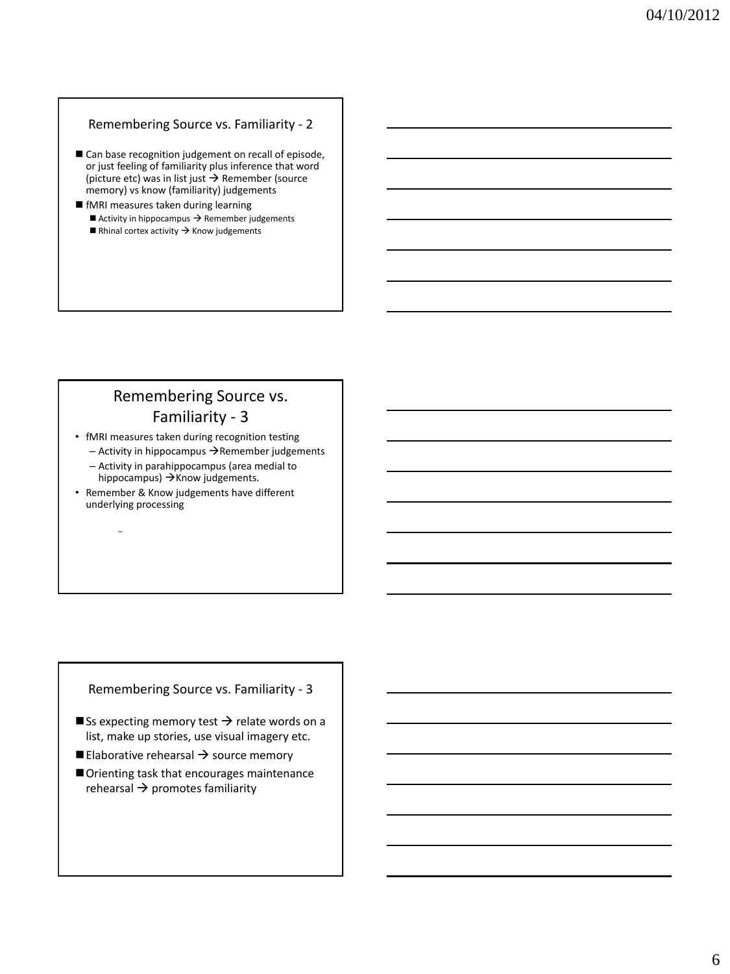### Remembering Source vs. Familiarity - 2

- Can base recognition judgement on recall of episode, or just feeling of familiarity plus inference that word (picture etc) was in list just  $\rightarrow$  Remember (source memory) vs know (familiarity) judgements
- fMRI measures taken during learning Activity in hippocampus  $\rightarrow$  Remember judgements Rhinal cortex activity  $\rightarrow$  Know judgements

### Remembering Source vs. Familiarity - 3

• fMRI measures taken during recognition testing

 $-$  Activity in hippocampus  $\rightarrow$  Remember judgements

– Activity in parahippocampus (area medial to hippocampus)  $\rightarrow$  Know judgements.

• Remember & Know judgements have different underlying processing

–

### Remembering Source vs. Familiarity - 3

- $\blacksquare$  Ss expecting memory test  $\rightarrow$  relate words on a list, make up stories, use visual imagery etc.
- Elaborative rehearsal  $\rightarrow$  source memory
- Orienting task that encourages maintenance rehearsal  $\rightarrow$  promotes familiarity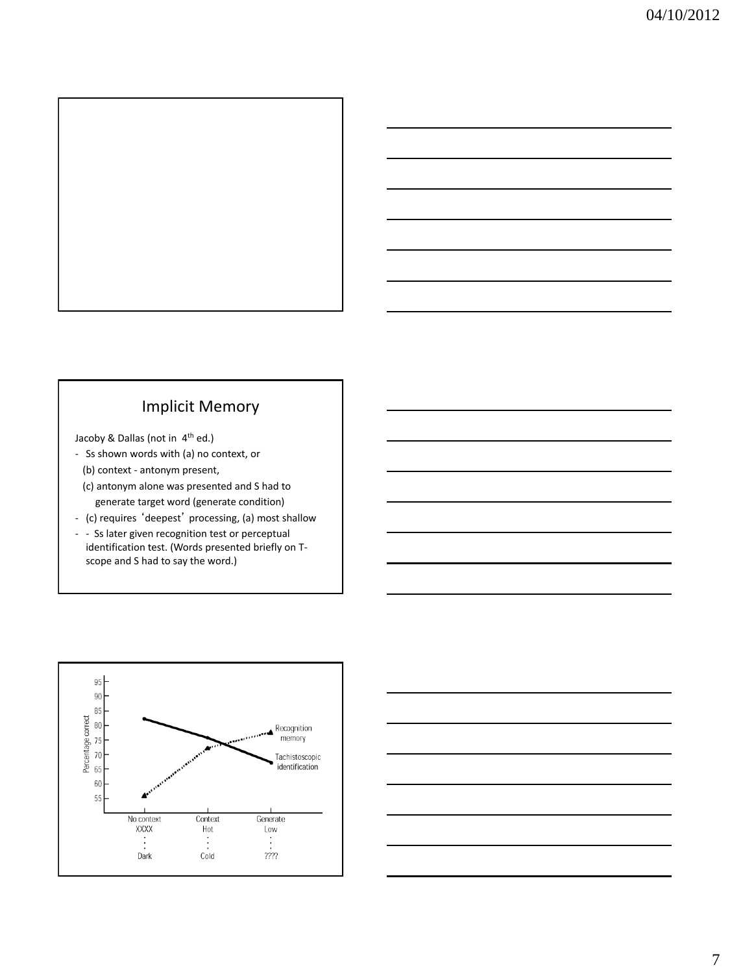

### Implicit Memory

Jacoby & Dallas (not in 4th ed.)

- Ss shown words with (a) no context, or
	- (b) context antonym present,
	- (c) antonym alone was presented and S had to generate target word (generate condition)
- (c) requires 'deepest' processing, (a) most shallow
- - Ss later given recognition test or perceptual identification test. (Words presented briefly on Tscope and S had to say the word.)



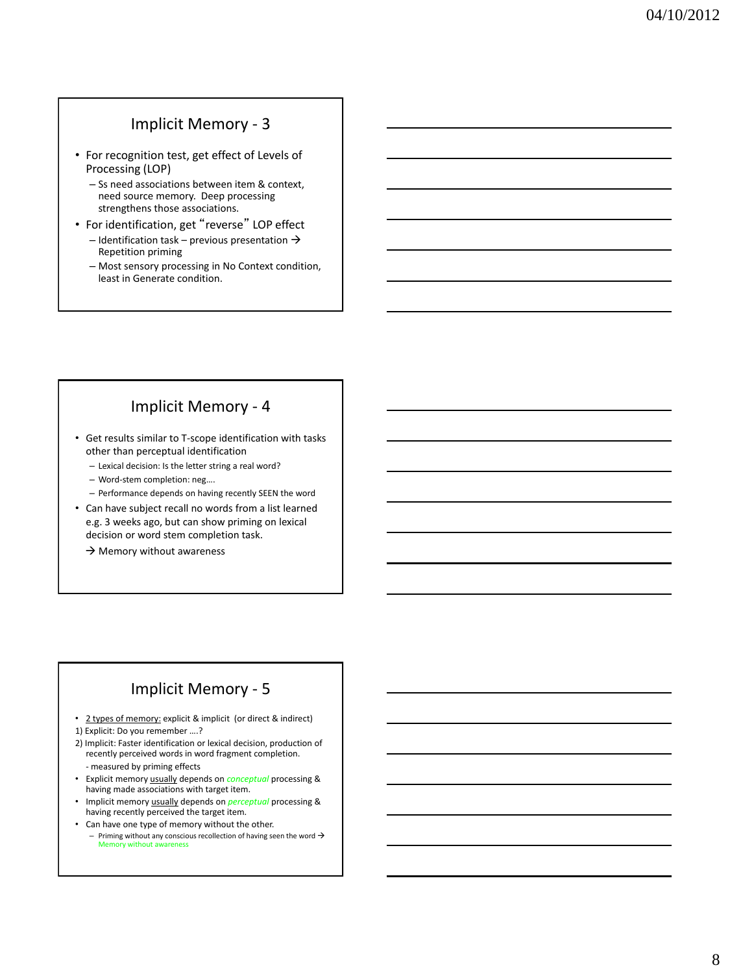### Implicit Memory - 3

- For recognition test, get effect of Levels of Processing (LOP)
	- Ss need associations between item & context, need source memory. Deep processing strengthens those associations.
- For identification, get "reverse" LOP effect
	- Identification task previous presentation  $\rightarrow$ Repetition priming
	- Most sensory processing in No Context condition, least in Generate condition.

## Implicit Memory - 4

- Get results similar to T-scope identification with tasks other than perceptual identification
	- Lexical decision: Is the letter string a real word?
	- Word-stem completion: neg….
	- Performance depends on having recently SEEN the word
- Can have subject recall no words from a list learned e.g. 3 weeks ago, but can show priming on lexical decision or word stem completion task.
	- $\rightarrow$  Memory without awareness

### Implicit Memory - 5

• 2 types of memory: explicit & implicit (or direct & indirect) 1) Explicit: Do you remember ….?

- 2) Implicit: Faster identification or lexical decision, production of recently perceived words in word fragment completion. - measured by priming effects
- Explicit memory usually depends on *conceptual* processing & having made associations with target item.
- Implicit memory usually depends on *perceptual* processing & having recently perceived the target item*.*
- Can have one type of memory without the other.
	- Priming without any conscious recollection of having seen the word  $\rightarrow$  Memory without awareness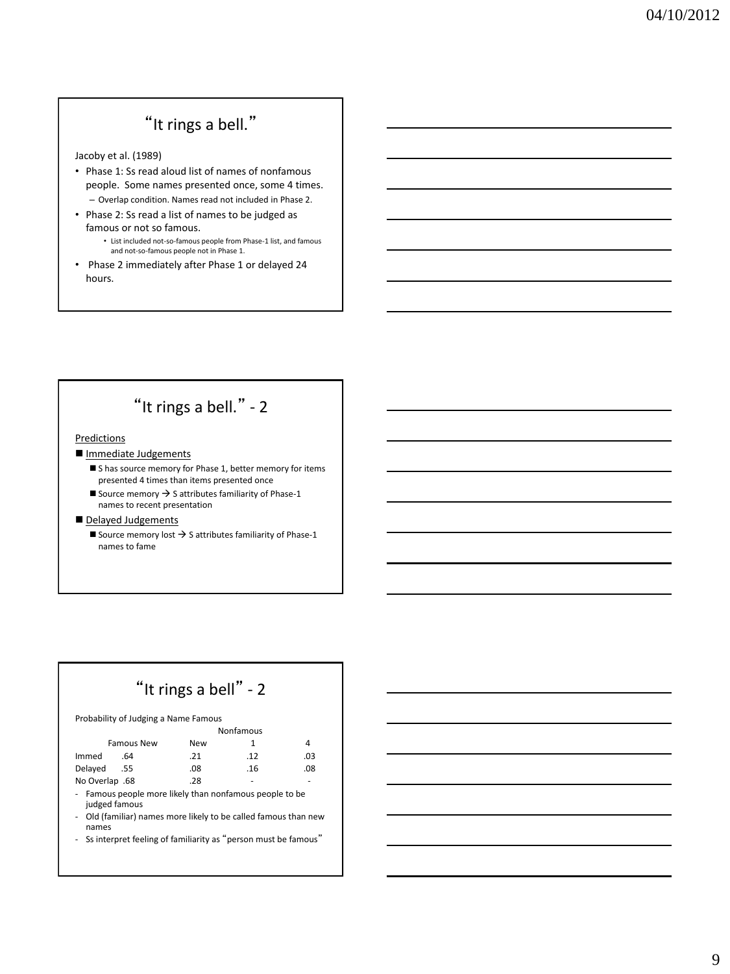# "It rings a bell."

Jacoby et al. (1989)

- Phase 1: Ss read aloud list of names of nonfamous people. Some names presented once, some 4 times. – Overlap condition. Names read not included in Phase 2.
- Phase 2: Ss read a list of names to be judged as famous or not so famous. • List included not-so-famous people from Phase-1 list, and famous
	- and not-so-famous people not in Phase 1.
- Phase 2 immediately after Phase 1 or delayed 24 hours.

# "It rings a bell." - 2

#### Predictions

- Immediate Judgements
	- Shas source memory for Phase 1, better memory for items presented 4 times than items presented once
	- Source memory  $\rightarrow$  S attributes familiarity of Phase-1 names to recent presentation
- Delayed Judgements
	- Source memory lost  $\rightarrow$  S attributes familiarity of Phase-1 names to fame

# "It rings a bell" - 2

Probability of Judging a Name Famous

|                   | Nonfamous |     |     |  |
|-------------------|-----------|-----|-----|--|
| <b>Famous New</b> | New       |     |     |  |
| Immed<br>.64      | .21       | .12 | .03 |  |
| Delayed<br>.55    | .08       | .16 | .08 |  |
| No Overlap .68    | .28       |     |     |  |

- Famous people more likely than nonfamous people to be judged famous
- Old (familiar) names more likely to be called famous than new names
- Ss interpret feeling of familiarity as "person must be famous"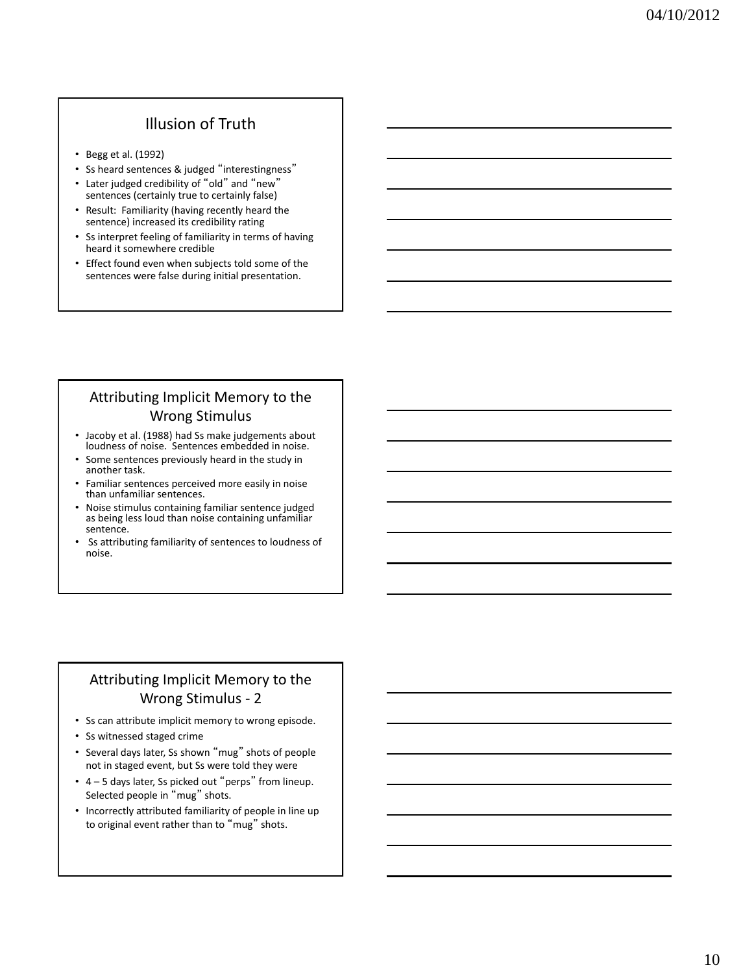## Illusion of Truth

- Begg et al. (1992)
- Ss heard sentences & judged "interestingness"
- Later judged credibility of "old" and "new" sentences (certainly true to certainly false)
- Result: Familiarity (having recently heard the sentence) increased its credibility rating
- Ss interpret feeling of familiarity in terms of having heard it somewhere credible
- Effect found even when subjects told some of the sentences were false during initial presentation.

### Attributing Implicit Memory to the Wrong Stimulus

- Jacoby et al. (1988) had Ss make judgements about loudness of noise. Sentences embedded in noise.
- Some sentences previously heard in the study in another task.
- Familiar sentences perceived more easily in noise than unfamiliar sentences.
- Noise stimulus containing familiar sentence judged as being less loud than noise containing unfamiliar sentence.
- Ss attributing familiarity of sentences to loudness of noise.

### Attributing Implicit Memory to the Wrong Stimulus - 2

- Ss can attribute implicit memory to wrong episode.
- Ss witnessed staged crime
- Several days later, Ss shown "mug" shots of people not in staged event, but Ss were told they were
- 4 5 days later, Ss picked out "perps" from lineup. Selected people in "mug" shots.
- Incorrectly attributed familiarity of people in line up to original event rather than to "mug" shots.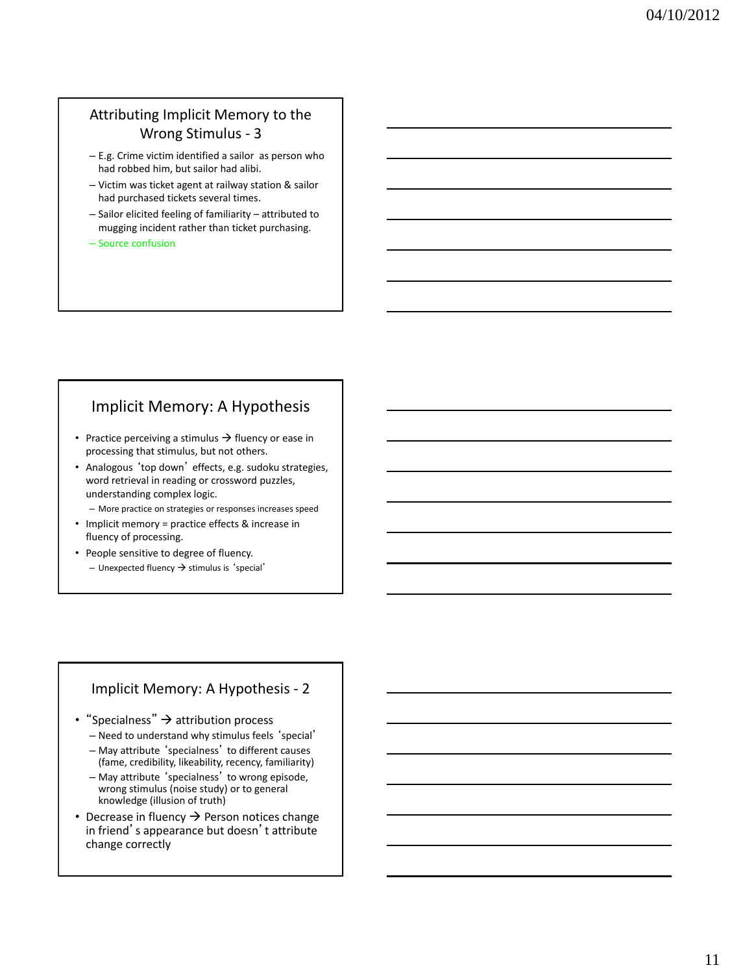### Attributing Implicit Memory to the Wrong Stimulus - 3

- E.g. Crime victim identified a sailor as person who had robbed him, but sailor had alibi.
- Victim was ticket agent at railway station & sailor had purchased tickets several times.
- Sailor elicited feeling of familiarity attributed to mugging incident rather than ticket purchasing.
- Source confusion

### Implicit Memory: A Hypothesis

- Practice perceiving a stimulus  $\rightarrow$  fluency or ease in processing that stimulus, but not others.
- Analogous 'top down' effects, e.g. sudoku strategies, word retrieval in reading or crossword puzzles, understanding complex logic.
	- More practice on strategies or responses increases speed
- Implicit memory = practice effects & increase in fluency of processing.
- People sensitive to degree of fluency. – Unexpected fluency  $\rightarrow$  stimulus is 'special'

### Implicit Memory: A Hypothesis - 2

- "Specialness"  $\rightarrow$  attribution process
	- Need to understand why stimulus feels 'special'
	- May attribute 'specialness' to different causes (fame, credibility, likeability, recency, familiarity)
	- May attribute 'specialness' to wrong episode, wrong stimulus (noise study) or to general knowledge (illusion of truth)
- Decrease in fluency  $\rightarrow$  Person notices change in friend's appearance but doesn't attribute change correctly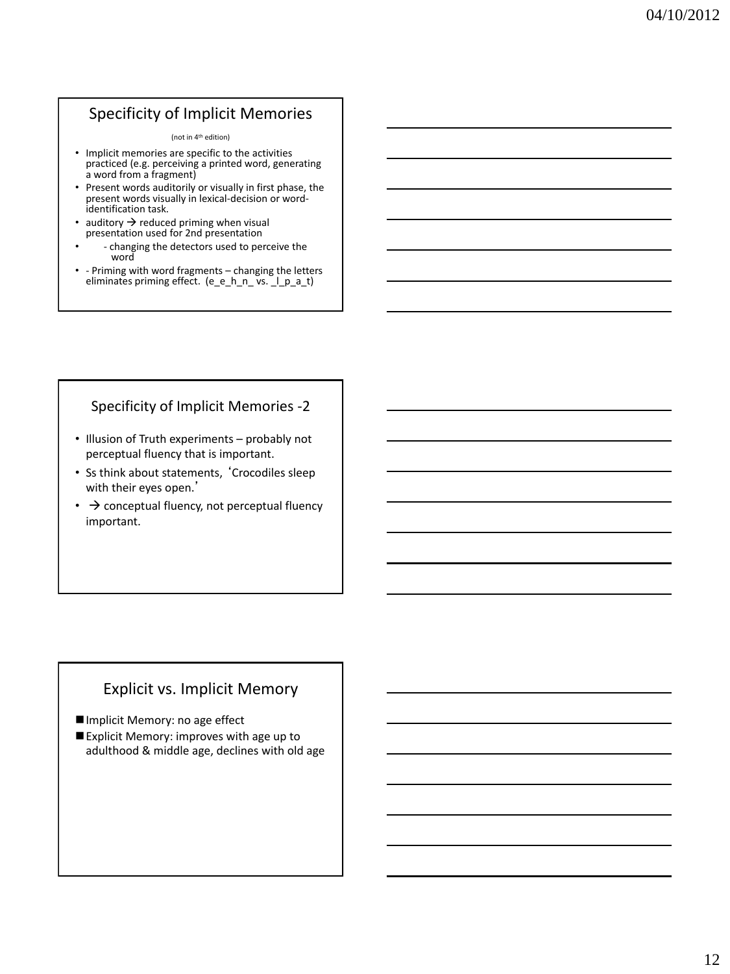# Specificity of Implicit Memories

#### (not in 4th edition)

- Implicit memories are specific to the activities practiced (e.g. perceiving a printed word, generating a word from a fragment)
- Present words auditorily or visually in first phase, the present words visually in lexical-decision or wordidentification task.
- auditory  $\rightarrow$  reduced priming when visual presentation used for 2nd presentation
	- - changing the detectors used to perceive the word
- - Priming with word fragments changing the letters eliminates priming effect. (e\_e\_h\_n\_ vs. \_l\_p\_a\_t)

### Specificity of Implicit Memories -2

- Illusion of Truth experiments probably not perceptual fluency that is important.
- Ss think about statements, 'Crocodiles sleep with their eyes open.'
- $\bullet\ \rightarrow$  conceptual fluency, not perceptual fluency important.

### Explicit vs. Implicit Memory

Implicit Memory: no age effect

Explicit Memory: improves with age up to adulthood & middle age, declines with old age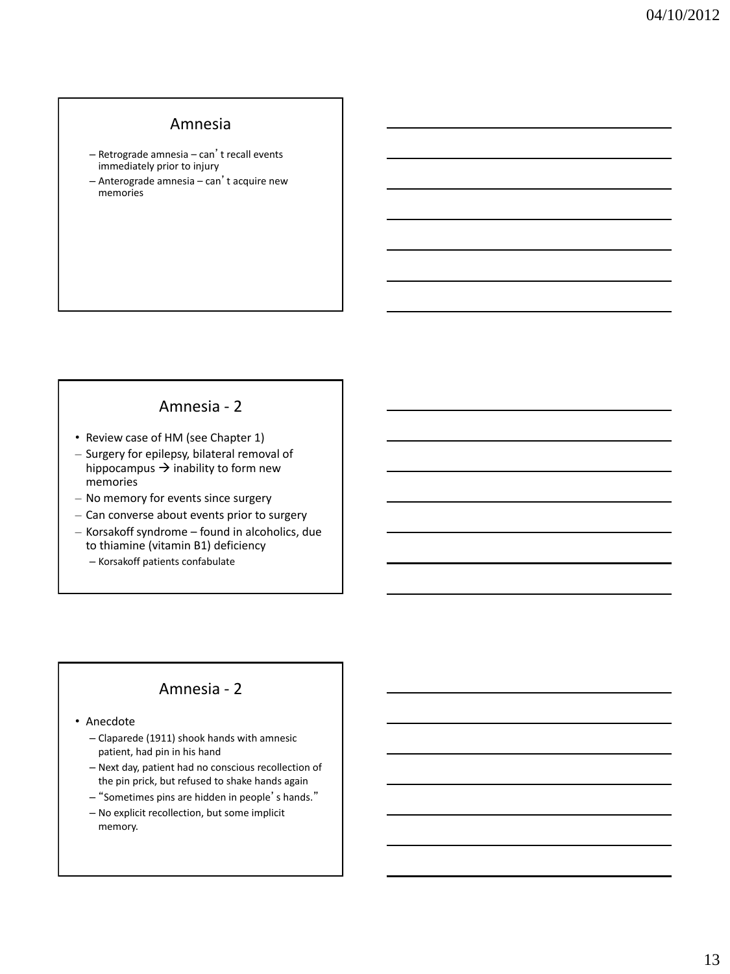### Amnesia

- Retrograde amnesia can't recall events immediately prior to injury
- Anterograde amnesia can't acquire new memories

### Amnesia - 2

- Review case of HM (see Chapter 1)
- Surgery for epilepsy, bilateral removal of hippocampus  $\rightarrow$  inability to form new memories
- No memory for events since surgery
- Can converse about events prior to surgery
- Korsakoff syndrome found in alcoholics, due to thiamine (vitamin B1) deficiency
	- Korsakoff patients confabulate

### Amnesia - 2

• Anecdote

- Claparede (1911) shook hands with amnesic patient, had pin in his hand
- Next day, patient had no conscious recollection of the pin prick, but refused to shake hands again
- "Sometimes pins are hidden in people's hands."
- No explicit recollection, but some implicit memory.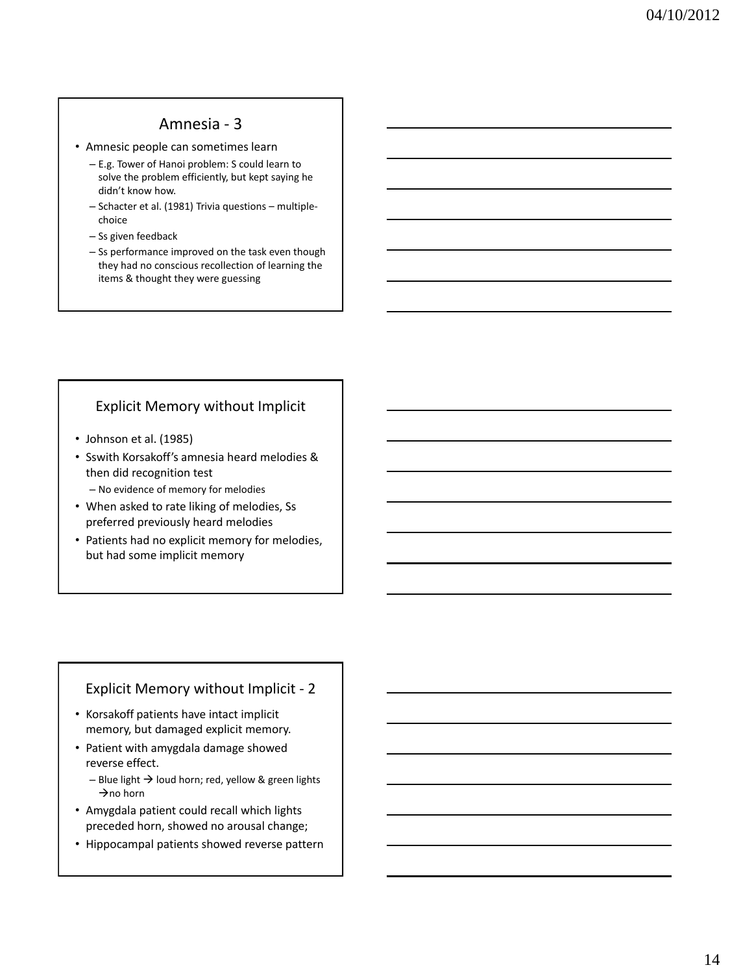### Amnesia - 3

- Amnesic people can sometimes learn
	- E.g. Tower of Hanoi problem: S could learn to solve the problem efficiently, but kept saying he didn't know how.
	- Schacter et al. (1981) Trivia questions multiplechoice
	- Ss given feedback
	- Ss performance improved on the task even though they had no conscious recollection of learning the items & thought they were guessing

### Explicit Memory without Implicit

- Johnson et al. (1985)
- Sswith Korsakoff's amnesia heard melodies & then did recognition test
	- No evidence of memory for melodies
- When asked to rate liking of melodies, Ss preferred previously heard melodies
- Patients had no explicit memory for melodies, but had some implicit memory

### Explicit Memory without Implicit - 2

- Korsakoff patients have intact implicit memory, but damaged explicit memory.
- Patient with amygdala damage showed reverse effect.
	- Blue light  $\rightarrow$  loud horn; red, yellow & green lights  $\rightarrow$  no horn
- Amygdala patient could recall which lights preceded horn, showed no arousal change;
- Hippocampal patients showed reverse pattern